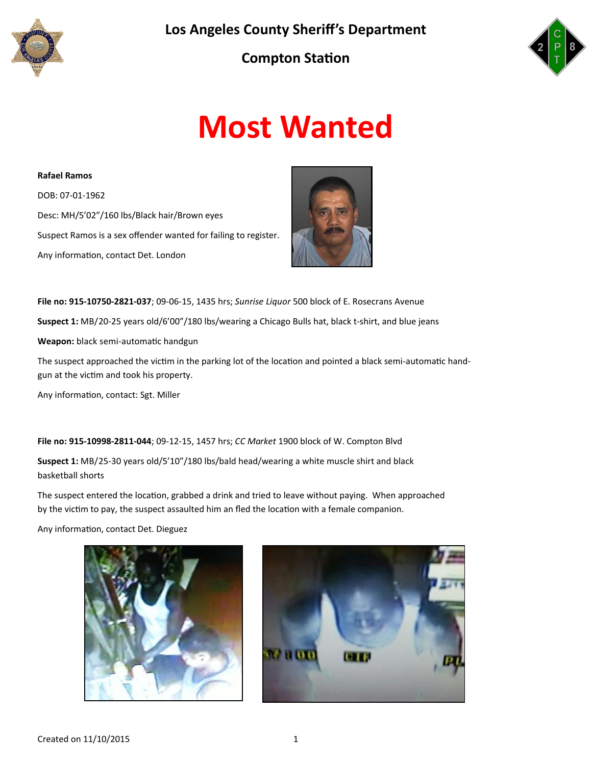





# **Most Wanted**

**Rafael Ramos** DOB: 07-01-1962 Desc: MH/5'02"/160 lbs/Black hair/Brown eyes Suspect Ramos is a sex offender wanted for failing to register. Any information, contact Det. London



**File no: 915-10750-2821-037**; 09-06-15, 1435 hrs; *Sunrise Liquor* 500 block of E. Rosecrans Avenue **Suspect 1:** MB/20-25 years old/6'00"/180 lbs/wearing a Chicago Bulls hat, black t-shirt, and blue jeans **Weapon:** black semi-automatic handgun

The suspect approached the victim in the parking lot of the location and pointed a black semi-automatic handgun at the victim and took his property.

Any information, contact: Sgt. Miller

**File no: 915-10998-2811-044**; 09-12-15, 1457 hrs; *CC Market* 1900 block of W. Compton Blvd

**Suspect 1:** MB/25-30 years old/5'10"/180 lbs/bald head/wearing a white muscle shirt and black basketball shorts

The suspect entered the location, grabbed a drink and tried to leave without paying. When approached by the victim to pay, the suspect assaulted him an fled the location with a female companion.

Any information, contact Det. Dieguez



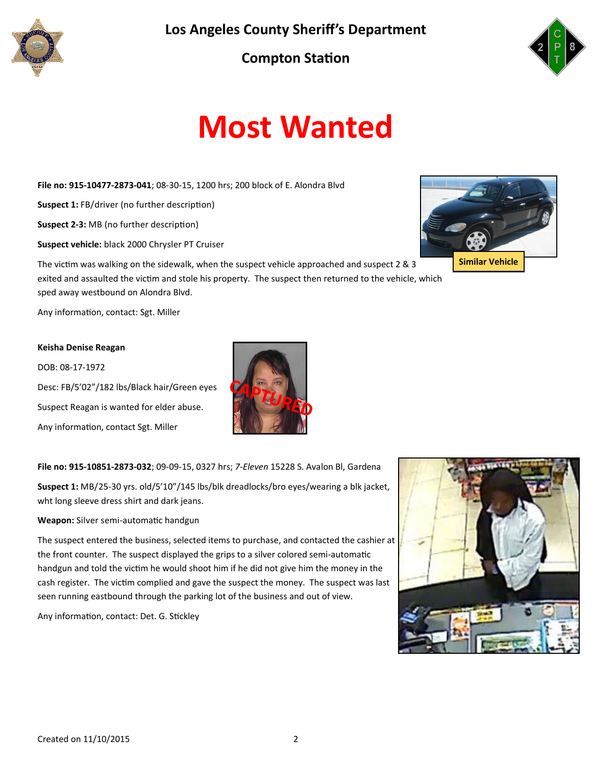

**Los Angeles County Sheriff's Department**

### **Compton Station**



## **Most Wanted**

**File no: 915-10477-2873-041**; 08-30-15, 1200 hrs; 200 block of E. Alondra Blvd

**Suspect 1:** FB/driver (no further description)

**Suspect 2-3:** MB (no further description)

**Suspect vehicle:** black 2000 Chrysler PT Cruiser

The victim was walking on the sidewalk, when the suspect vehicle approached and suspect 2 & 3 exited and assaulted the victim and stole his property. The suspect then returned to the vehicle, which sped away westbound on Alondra Blvd.

Any information, contact: Sgt. Miller

#### **Keisha Denise Reagan**

DOB: 08-17-1972

Desc: FB/5'02"/182 lbs/Black hair/Green eyes Suspect Reagan is wanted for elder abuse. Any information, contact Sgt. Miller



**File no: 915-10851-2873-032**; 09-09-15, 0327 hrs; *7-Eleven* 15228 S. Avalon Bl, Gardena

**Suspect 1:** MB/25-30 yrs. old/5'10"/145 lbs/blk dreadlocks/bro eyes/wearing a blk jacket, wht long sleeve dress shirt and dark jeans.

**Weapon:** Silver semi-automatic handgun

The suspect entered the business, selected items to purchase, and contacted the cashier at the front counter. The suspect displayed the grips to a silver colored semi-automatic handgun and told the victim he would shoot him if he did not give him the money in the cash register. The victim complied and gave the suspect the money. The suspect was last seen running eastbound through the parking lot of the business and out of view.

Any information, contact: Det. G. Stickley